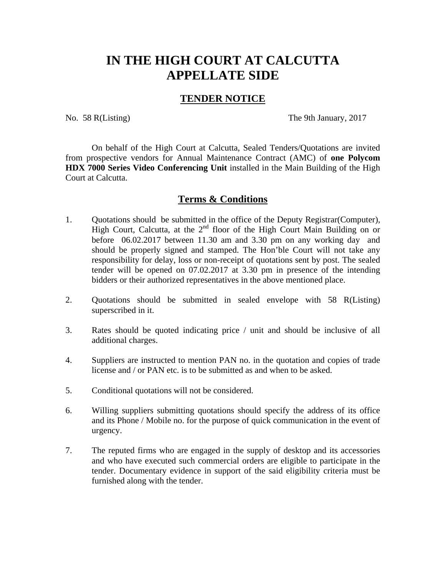## **IN THE HIGH COURT AT CALCUTTA APPELLATE SIDE**

## **TENDER NOTICE**

No. 58 R(Listing) The 9th January, 2017

 On behalf of the High Court at Calcutta, Sealed Tenders/Quotations are invited from prospective vendors for Annual Maintenance Contract (AMC) of **one Polycom HDX 7000 Series Video Conferencing Unit** installed in the Main Building of the High Court at Calcutta.

## **Terms & Conditions**

- 1. Quotations should be submitted in the office of the Deputy Registrar(Computer), High Court, Calcutta, at the  $2<sup>nd</sup>$  floor of the High Court Main Building on or before 06.02.2017 between 11.30 am and 3.30 pm on any working day and should be properly signed and stamped. The Hon'ble Court will not take any responsibility for delay, loss or non-receipt of quotations sent by post. The sealed tender will be opened on 07.02.2017 at 3.30 pm in presence of the intending bidders or their authorized representatives in the above mentioned place.
- 2. Quotations should be submitted in sealed envelope with 58 R(Listing) superscribed in it.
- 3. Rates should be quoted indicating price / unit and should be inclusive of all additional charges.
- 4. Suppliers are instructed to mention PAN no. in the quotation and copies of trade license and / or PAN etc. is to be submitted as and when to be asked.
- 5. Conditional quotations will not be considered.
- 6. Willing suppliers submitting quotations should specify the address of its office and its Phone / Mobile no. for the purpose of quick communication in the event of urgency.
- 7. The reputed firms who are engaged in the supply of desktop and its accessories and who have executed such commercial orders are eligible to participate in the tender. Documentary evidence in support of the said eligibility criteria must be furnished along with the tender.